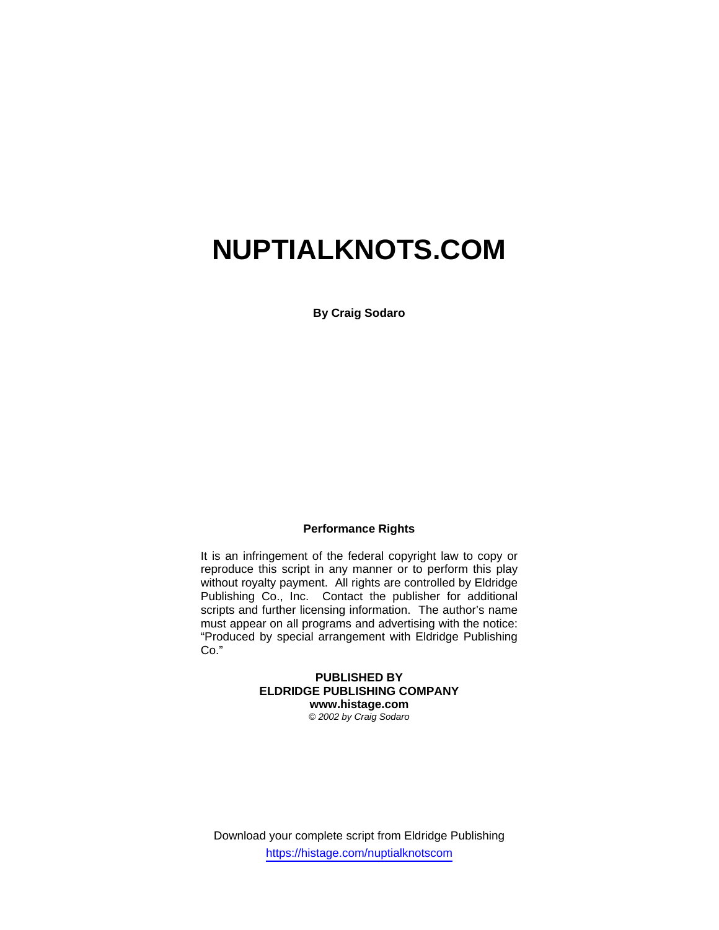# **NUPTIALKNOTS.COM**

**By Craig Sodaro** 

## **Performance Rights**

It is an infringement of the federal copyright law to copy or reproduce this script in any manner or to perform this play without royalty payment. All rights are controlled by Eldridge Publishing Co., Inc. Contact the publisher for additional scripts and further licensing information. The author's name must appear on all programs and advertising with the notice: "Produced by special arrangement with Eldridge Publishing Co."

## **PUBLISHED BY ELDRIDGE PUBLISHING COMPANY www.histage.com**

*© 2002 by Craig Sodaro* 

Download your complete script from Eldridge Publishing https://histage.com/nuptialknotscom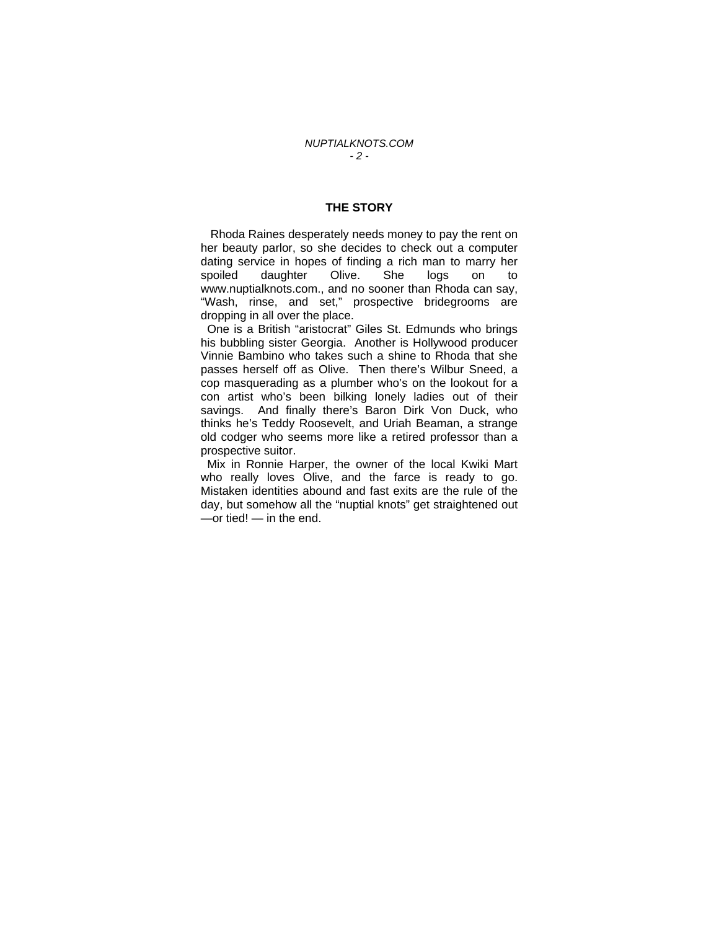### **THE STORY**

 Rhoda Raines desperately needs money to pay the rent on her beauty parlor, so she decides to check out a computer dating service in hopes of finding a rich man to marry her spoiled daughter Olive. She logs on to www.nuptialknots.com., and no sooner than Rhoda can say, "Wash, rinse, and set," prospective bridegrooms are dropping in all over the place.

 One is a British "aristocrat" Giles St. Edmunds who brings his bubbling sister Georgia. Another is Hollywood producer Vinnie Bambino who takes such a shine to Rhoda that she passes herself off as Olive. Then there's Wilbur Sneed, a cop masquerading as a plumber who's on the lookout for a con artist who's been bilking lonely ladies out of their savings. And finally there's Baron Dirk Von Duck, who thinks he's Teddy Roosevelt, and Uriah Beaman, a strange old codger who seems more like a retired professor than a prospective suitor.

 Mix in Ronnie Harper, the owner of the local Kwiki Mart who really loves Olive, and the farce is ready to go. Mistaken identities abound and fast exits are the rule of the day, but somehow all the "nuptial knots" get straightened out —or tied! — in the end.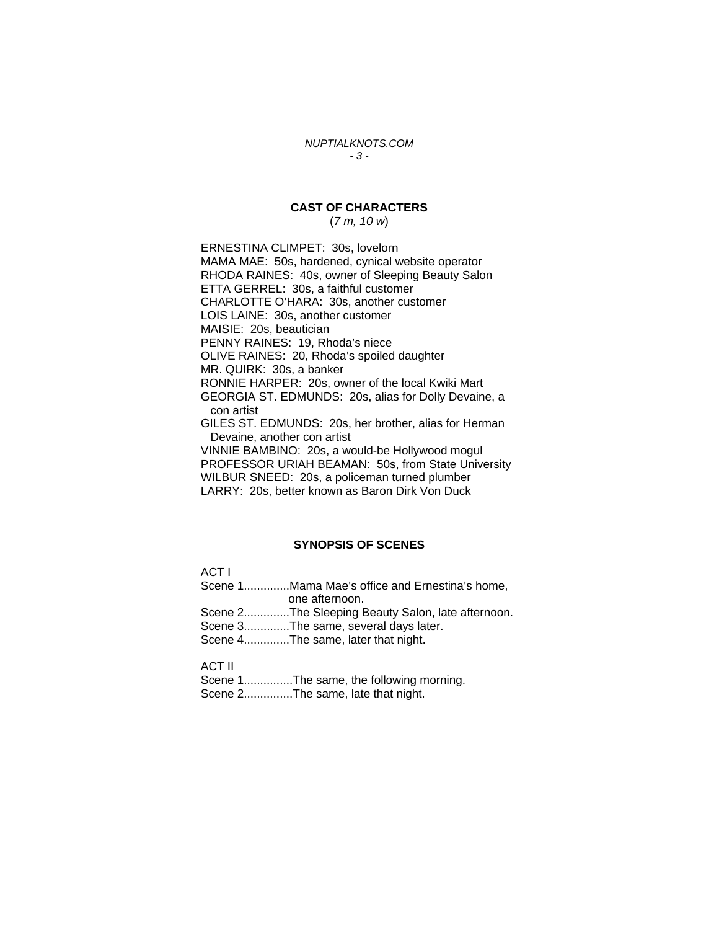#### *NUPTIALKNOTS.COM - 3 -*

## **CAST OF CHARACTERS**

(*7 m, 10 w*)

ERNESTINA CLIMPET: 30s, lovelorn MAMA MAE: 50s, hardened, cynical website operator RHODA RAINES: 40s, owner of Sleeping Beauty Salon ETTA GERREL: 30s, a faithful customer CHARLOTTE O'HARA: 30s, another customer LOIS LAINE: 30s, another customer MAISIE: 20s, beautician PENNY RAINES: 19, Rhoda's niece OLIVE RAINES: 20, Rhoda's spoiled daughter MR. QUIRK: 30s, a banker RONNIE HARPER: 20s, owner of the local Kwiki Mart GEORGIA ST. EDMUNDS: 20s, alias for Dolly Devaine, a con artist GILES ST. EDMUNDS: 20s, her brother, alias for Herman Devaine, another con artist VINNIE BAMBINO: 20s, a would-be Hollywood mogul PROFESSOR URIAH BEAMAN: 50s, from State University WILBUR SNEED: 20s, a policeman turned plumber LARRY: 20s, better known as Baron Dirk Von Duck

#### **SYNOPSIS OF SCENES**

ACT I Scene 1..............Mama Mae's office and Ernestina's home, one afternoon. Scene 2..............The Sleeping Beauty Salon, late afternoon. Scene 3..............The same, several days later. Scene 4..............The same, later that night.

ACT II

Scene 1...............The same, the following morning. Scene 2...............The same, late that night.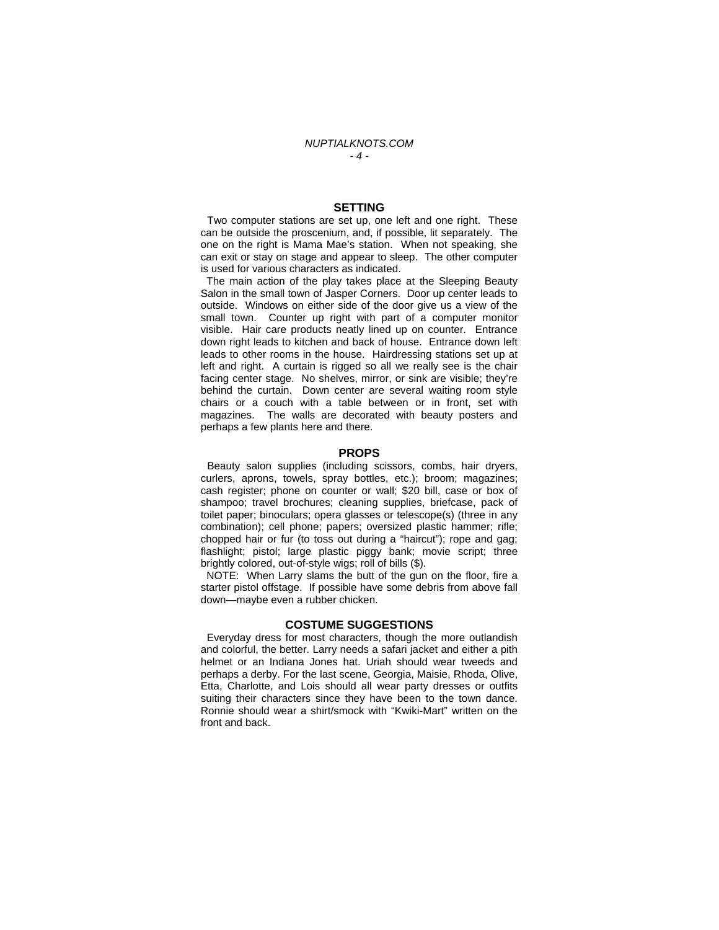#### **SETTING**

 Two computer stations are set up, one left and one right. These can be outside the proscenium, and, if possible, lit separately. The one on the right is Mama Mae's station. When not speaking, she can exit or stay on stage and appear to sleep. The other computer is used for various characters as indicated.

 The main action of the play takes place at the Sleeping Beauty Salon in the small town of Jasper Corners. Door up center leads to outside. Windows on either side of the door give us a view of the small town. Counter up right with part of a computer monitor visible. Hair care products neatly lined up on counter. Entrance down right leads to kitchen and back of house. Entrance down left leads to other rooms in the house. Hairdressing stations set up at left and right. A curtain is rigged so all we really see is the chair facing center stage. No shelves, mirror, or sink are visible; they're behind the curtain. Down center are several waiting room style chairs or a couch with a table between or in front, set with magazines. The walls are decorated with beauty posters and perhaps a few plants here and there.

#### **PROPS**

 Beauty salon supplies (including scissors, combs, hair dryers, curlers, aprons, towels, spray bottles, etc.); broom; magazines; cash register; phone on counter or wall; \$20 bill, case or box of shampoo; travel brochures; cleaning supplies, briefcase, pack of toilet paper; binoculars; opera glasses or telescope(s) (three in any combination); cell phone; papers; oversized plastic hammer; rifle; chopped hair or fur (to toss out during a "haircut"); rope and gag; flashlight; pistol; large plastic piggy bank; movie script; three brightly colored, out-of-style wigs; roll of bills (\$).

 NOTE: When Larry slams the butt of the gun on the floor, fire a starter pistol offstage. If possible have some debris from above fall down—maybe even a rubber chicken.

#### **COSTUME SUGGESTIONS**

 Everyday dress for most characters, though the more outlandish and colorful, the better. Larry needs a safari jacket and either a pith helmet or an Indiana Jones hat. Uriah should wear tweeds and perhaps a derby. For the last scene, Georgia, Maisie, Rhoda, Olive, Etta, Charlotte, and Lois should all wear party dresses or outfits suiting their characters since they have been to the town dance. Ronnie should wear a shirt/smock with "Kwiki-Mart" written on the front and back.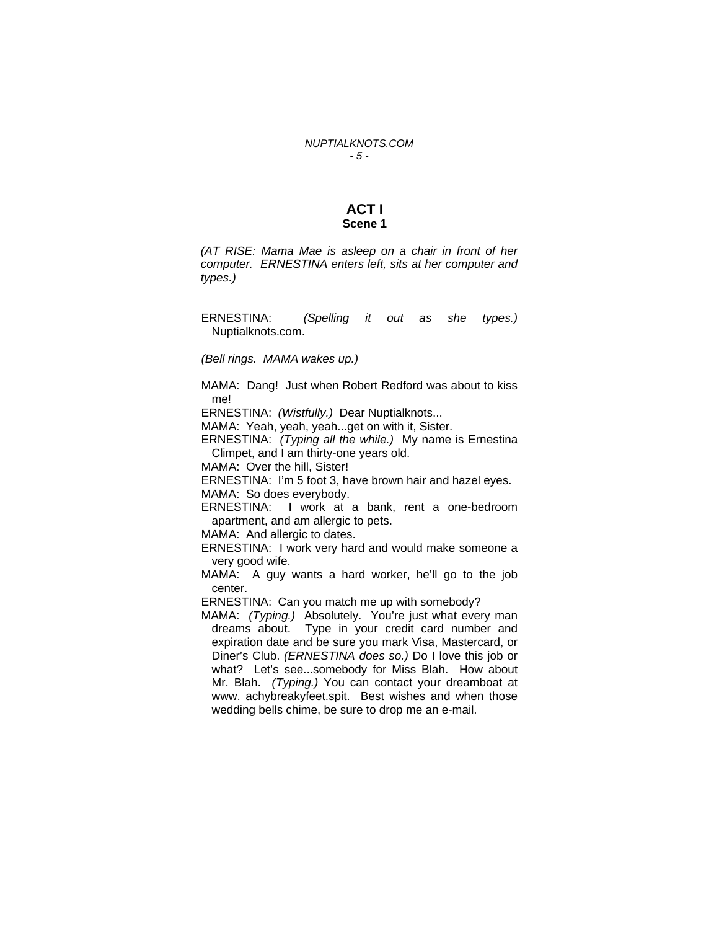#### **ACT I Scene 1**

*(AT RISE: Mama Mae is asleep on a chair in front of her computer. ERNESTINA enters left, sits at her computer and types.)* 

ERNESTINA: *(Spelling it out as she types.)* Nuptialknots.com.

*(Bell rings. MAMA wakes up.)* 

MAMA: Dang! Just when Robert Redford was about to kiss me!

ERNESTINA: *(Wistfully.)* Dear Nuptialknots...

MAMA: Yeah, yeah, yeah...get on with it, Sister.

ERNESTINA: *(Typing all the while.)* My name is Ernestina Climpet, and I am thirty-one years old.

MAMA: Over the hill, Sister!

ERNESTINA: I'm 5 foot 3, have brown hair and hazel eyes. MAMA: So does everybody.

ERNESTINA: I work at a bank, rent a one-bedroom apartment, and am allergic to pets.

MAMA: And allergic to dates.

ERNESTINA: I work very hard and would make someone a very good wife.

MAMA: A guy wants a hard worker, he'll go to the job center.

ERNESTINA: Can you match me up with somebody?

MAMA: *(Typing.)* Absolutely. You're just what every man dreams about. Type in your credit card number and expiration date and be sure you mark Visa, Mastercard, or Diner's Club. *(ERNESTINA does so.)* Do I love this job or what? Let's see...somebody for Miss Blah. How about Mr. Blah. *(Typing.)* You can contact your dreamboat at www. achybreakyfeet.spit. Best wishes and when those wedding bells chime, be sure to drop me an e-mail.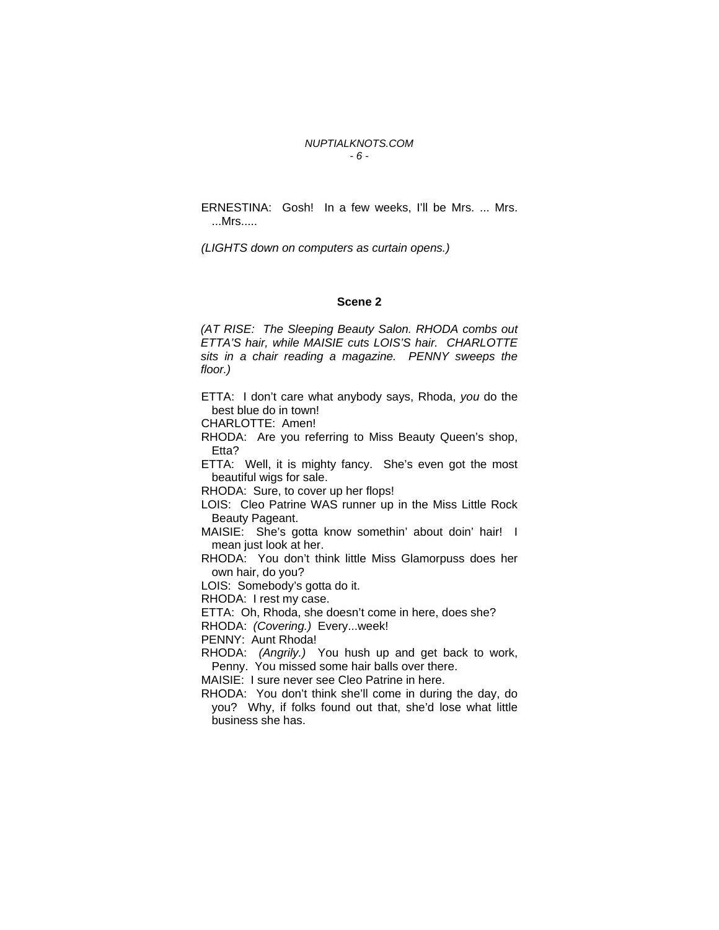#### *NUPTIALKNOTS.COM - 6 -*

ERNESTINA: Gosh! In a few weeks, I'll be Mrs. ... Mrs. ...Mrs.....

*(LIGHTS down on computers as curtain opens.)* 

#### **Scene 2**

*(AT RISE: The Sleeping Beauty Salon. RHODA combs out ETTA'S hair, while MAISIE cuts LOIS'S hair. CHARLOTTE sits in a chair reading a magazine. PENNY sweeps the floor.)*

ETTA: I don't care what anybody says, Rhoda, *you* do the best blue do in town!

CHARLOTTE: Amen!

RHODA: Are you referring to Miss Beauty Queen's shop, Etta?

ETTA: Well, it is mighty fancy. She's even got the most beautiful wigs for sale.

RHODA: Sure, to cover up her flops!

LOIS: Cleo Patrine WAS runner up in the Miss Little Rock Beauty Pageant.

MAISIE: She's gotta know somethin' about doin' hair! I mean just look at her.

RHODA: You don't think little Miss Glamorpuss does her own hair, do you?

LOIS: Somebody's gotta do it.

RHODA: I rest my case.

ETTA: Oh, Rhoda, she doesn't come in here, does she?

RHODA: *(Covering.)* Every...week!

PENNY: Aunt Rhoda!

RHODA: *(Angrily.)* You hush up and get back to work, Penny. You missed some hair balls over there.

MAISIE: I sure never see Cleo Patrine in here.

RHODA: You don't think she'll come in during the day, do you? Why, if folks found out that, she'd lose what little business she has.